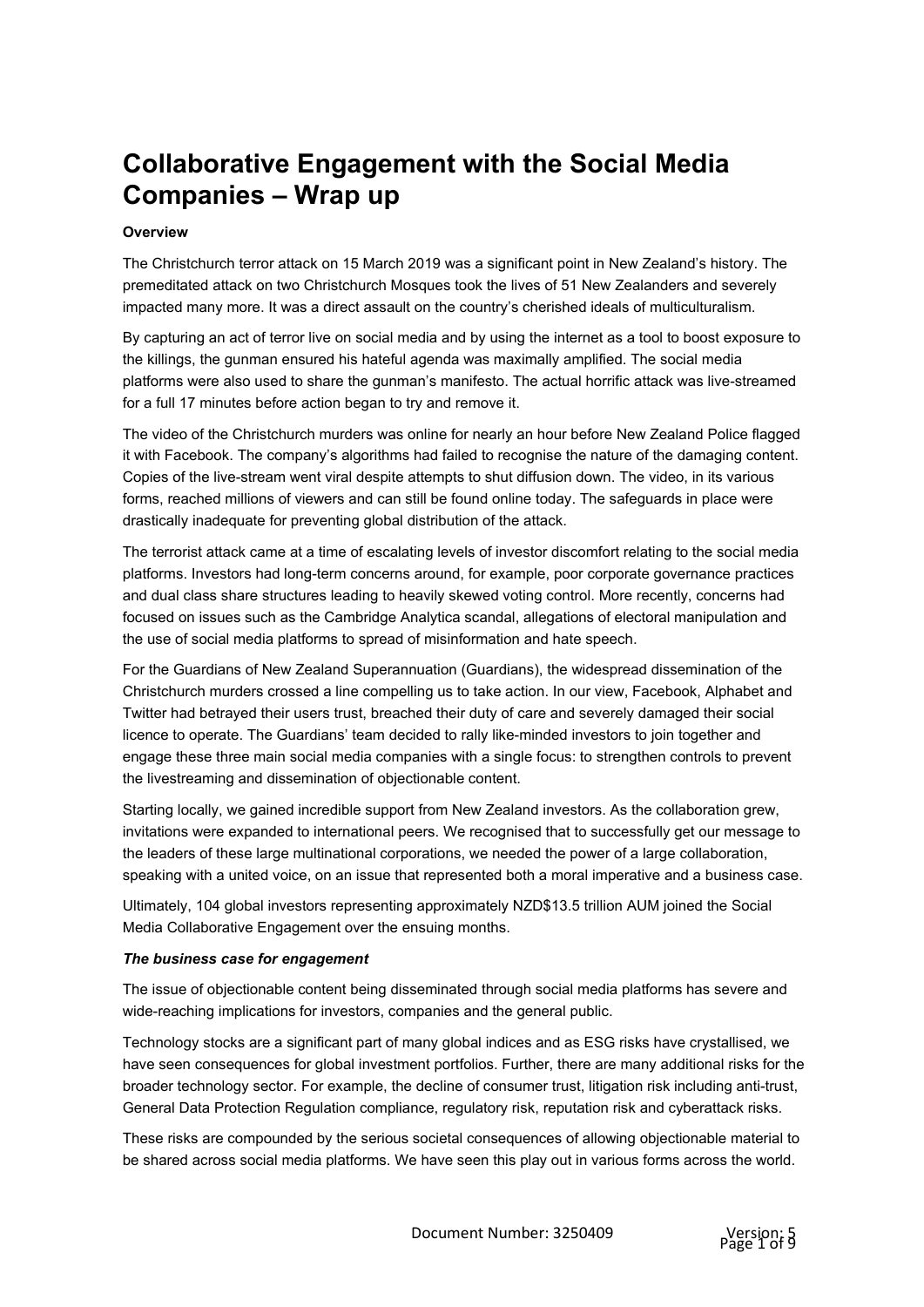# **Collaborative Engagement with the Social Media Companies – Wrap up**

## **Overview**

The Christchurch terror attack on 15 March 2019 was a significant point in New Zealand's history. The premeditated attack on two Christchurch Mosques took the lives of 51 New Zealanders and severely impacted many more. It was a direct assault on the country's cherished ideals of multiculturalism.

By capturing an act of terror live on social media and by using the internet as a tool to boost exposure to the killings, the gunman ensured his hateful agenda was maximally amplified. The social media platforms were also used to share the gunman's manifesto. The actual horrific attack was live-streamed for a full 17 minutes before action began to try and remove it.

The video of the Christchurch murders was online for nearly an hour before New Zealand Police flagged it with Facebook. The company's algorithms had failed to recognise the nature of the damaging content. Copies of the live-stream went viral despite attempts to shut diffusion down. The video, in its various forms, reached millions of viewers and can still be found online today. The safeguards in place were drastically inadequate for preventing global distribution of the attack.

The terrorist attack came at a time of escalating levels of investor discomfort relating to the social media platforms. Investors had long-term concerns around, for example, poor corporate governance practices and dual class share structures leading to heavily skewed voting control. More recently, concerns had focused on issues such as the Cambridge Analytica scandal, allegations of electoral manipulation and the use of social media platforms to spread of misinformation and hate speech.

For the Guardians of New Zealand Superannuation (Guardians), the widespread dissemination of the Christchurch murders crossed a line compelling us to take action. In our view, Facebook, Alphabet and Twitter had betrayed their users trust, breached their duty of care and severely damaged their social licence to operate. The Guardians' team decided to rally like-minded investors to join together and engage these three main social media companies with a single focus: to strengthen controls to prevent the livestreaming and dissemination of objectionable content.

Starting locally, we gained incredible support from New Zealand investors. As the collaboration grew, invitations were expanded to international peers. We recognised that to successfully get our message to the leaders of these large multinational corporations, we needed the power of a large collaboration, speaking with a united voice, on an issue that represented both a moral imperative and a business case.

Ultimately, 104 global investors representing approximately NZD\$13.5 trillion AUM joined the Social Media Collaborative Engagement over the ensuing months.

#### *The business case for engagement*

The issue of objectionable content being disseminated through social media platforms has severe and wide-reaching implications for investors, companies and the general public.

Technology stocks are a significant part of many global indices and as ESG risks have crystallised, we have seen consequences for global investment portfolios. Further, there are many additional risks for the broader technology sector. For example, the decline of consumer trust, litigation risk including anti-trust, General Data Protection Regulation compliance, regulatory risk, reputation risk and cyberattack risks.

These risks are compounded by the serious societal consequences of allowing objectionable material to be shared across social media platforms. We have seen this play out in various forms across the world.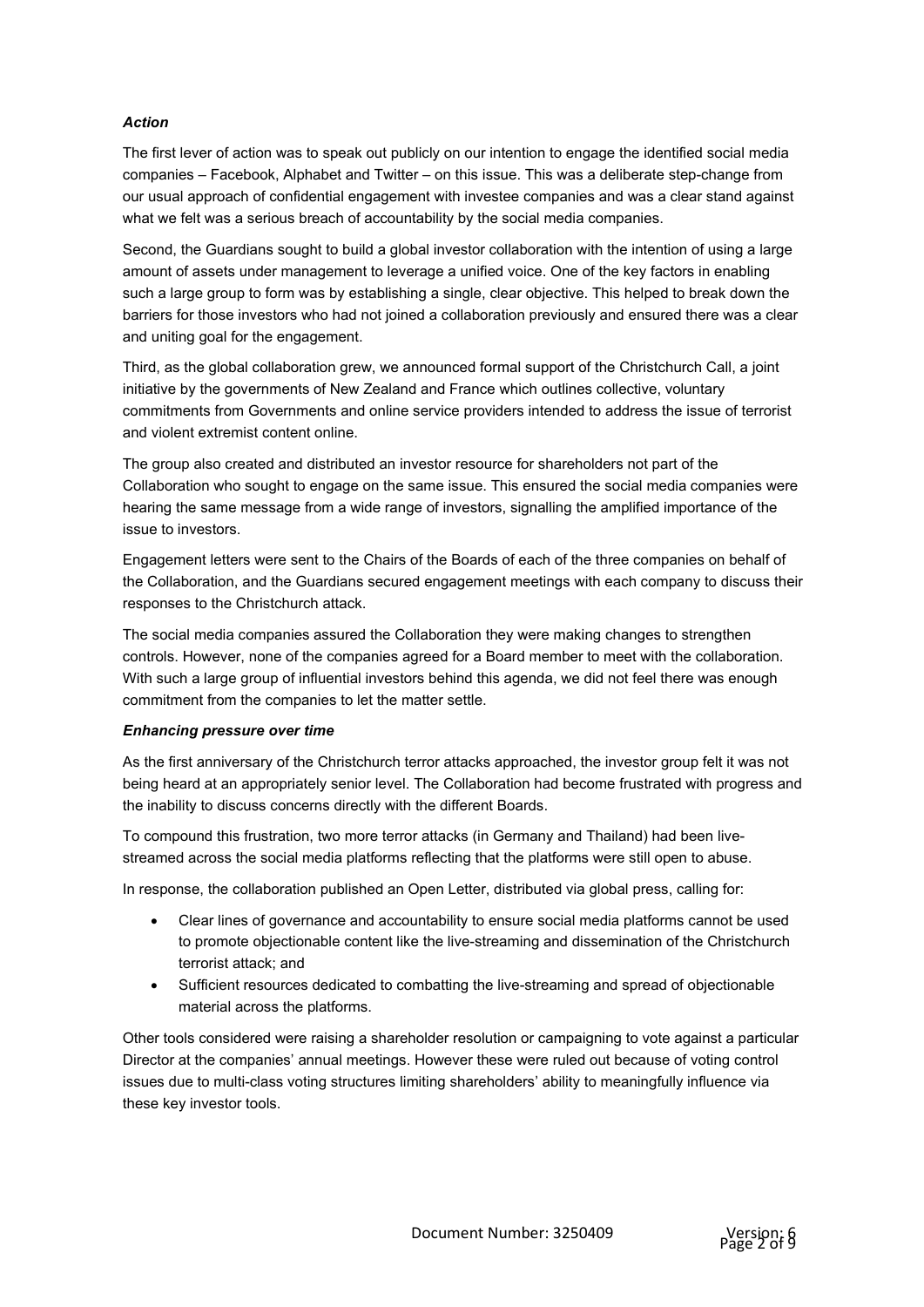#### *Action*

The first lever of action was to speak out publicly on our intention to engage the identified social media companies – Facebook, Alphabet and Twitter – on this issue. This was a deliberate step-change from our usual approach of confidential engagement with investee companies and was a clear stand against what we felt was a serious breach of accountability by the social media companies.

Second, the Guardians sought to build a global investor collaboration with the intention of using a large amount of assets under management to leverage a unified voice. One of the key factors in enabling such a large group to form was by establishing a single, clear objective. This helped to break down the barriers for those investors who had not joined a collaboration previously and ensured there was a clear and uniting goal for the engagement.

Third, as the global collaboration grew, we announced formal support of the Christchurch Call, a joint initiative by the governments of New Zealand and France which outlines collective, voluntary commitments from Governments and online service providers intended to address the issue of terrorist and violent extremist content online.

The group also created and distributed an investor resource for shareholders not part of the Collaboration who sought to engage on the same issue. This ensured the social media companies were hearing the same message from a wide range of investors, signalling the amplified importance of the issue to investors.

Engagement letters were sent to the Chairs of the Boards of each of the three companies on behalf of the Collaboration, and the Guardians secured engagement meetings with each company to discuss their responses to the Christchurch attack.

The social media companies assured the Collaboration they were making changes to strengthen controls. However, none of the companies agreed for a Board member to meet with the collaboration. With such a large group of influential investors behind this agenda, we did not feel there was enough commitment from the companies to let the matter settle.

#### *Enhancing pressure over time*

As the first anniversary of the Christchurch terror attacks approached, the investor group felt it was not being heard at an appropriately senior level. The Collaboration had become frustrated with progress and the inability to discuss concerns directly with the different Boards.

To compound this frustration, two more terror attacks (in Germany and Thailand) had been livestreamed across the social media platforms reflecting that the platforms were still open to abuse.

In response, the collaboration published an Open Letter, distributed via global press, calling for:

- Clear lines of governance and accountability to ensure social media platforms cannot be used to promote objectionable content like the live-streaming and dissemination of the Christchurch terrorist attack; and
- Sufficient resources dedicated to combatting the live-streaming and spread of objectionable material across the platforms.

Other tools considered were raising a shareholder resolution or campaigning to vote against a particular Director at the companies' annual meetings. However these were ruled out because of voting control issues due to multi-class voting structures limiting shareholders' ability to meaningfully influence via these key investor tools.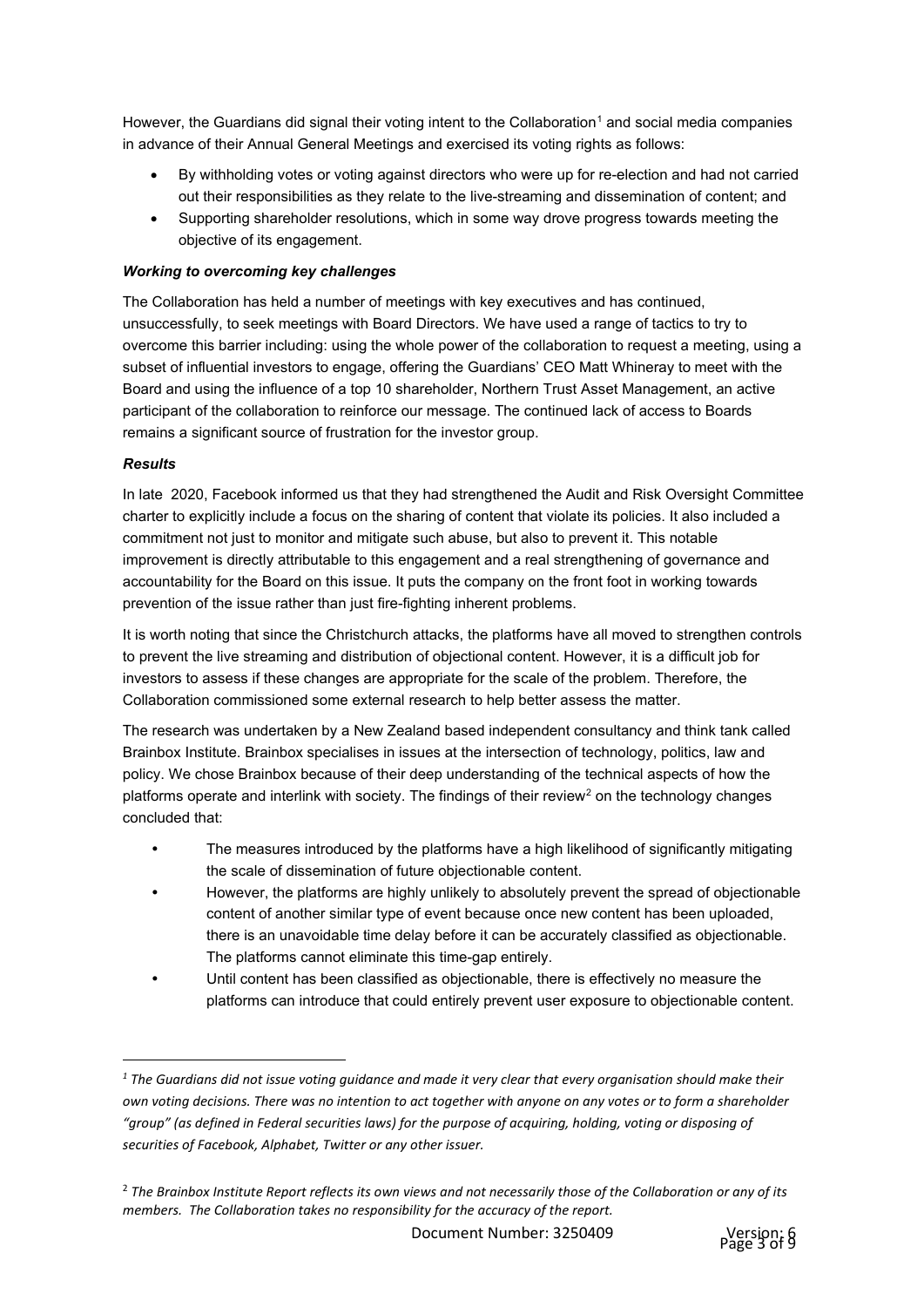However, the Guardians did signal their voting intent to the Collaboration<sup>[1](#page-2-0)</sup> and social media companies in advance of their Annual General Meetings and exercised its voting rights as follows:

- By withholding votes or voting against directors who were up for re-election and had not carried out their responsibilities as they relate to the live-streaming and dissemination of content; and
- Supporting shareholder resolutions, which in some way drove progress towards meeting the objective of its engagement.

# *Working to overcoming key challenges*

The Collaboration has held a number of meetings with key executives and has continued, unsuccessfully, to seek meetings with Board Directors. We have used a range of tactics to try to overcome this barrier including: using the whole power of the collaboration to request a meeting, using a subset of influential investors to engage, offering the Guardians' CEO Matt Whineray to meet with the Board and using the influence of a top 10 shareholder, Northern Trust Asset Management, an active participant of the collaboration to reinforce our message. The continued lack of access to Boards remains a significant source of frustration for the investor group.

#### *Results*

In late 2020, Facebook informed us that they had strengthened the Audit and Risk Oversight Committee charter to explicitly include a focus on the sharing of content that violate its policies. It also included a commitment not just to monitor and mitigate such abuse, but also to prevent it. This notable improvement is directly attributable to this engagement and a real strengthening of governance and accountability for the Board on this issue. It puts the company on the front foot in working towards prevention of the issue rather than just fire-fighting inherent problems.

It is worth noting that since the Christchurch attacks, the platforms have all moved to strengthen controls to prevent the live streaming and distribution of objectional content. However, it is a difficult job for investors to assess if these changes are appropriate for the scale of the problem. Therefore, the Collaboration commissioned some external research to help better assess the matter.

The research was undertaken by a New Zealand based independent consultancy and think tank called Brainbox Institute. Brainbox specialises in issues at the intersection of technology, politics, law and policy. We chose Brainbox because of their deep understanding of the technical aspects of how the platforms operate and interlink with society. The findings of their review<sup>[2](#page-2-1)</sup> on the technology changes concluded that:

- The measures introduced by the platforms have a high likelihood of significantly mitigating the scale of dissemination of future objectionable content.
- However, the platforms are highly unlikely to absolutely prevent the spread of objectionable content of another similar type of event because once new content has been uploaded, there is an unavoidable time delay before it can be accurately classified as objectionable. The platforms cannot eliminate this time-gap entirely.
- Until content has been classified as objectionable, there is effectively no measure the platforms can introduce that could entirely prevent user exposure to objectionable content.



<span id="page-2-0"></span>*<sup>1</sup> The Guardians did not issue voting guidance and made it very clear that every organisation should make their own voting decisions. There was no intention to act together with anyone on any votes or to form a shareholder "group" (as defined in Federal securities laws) for the purpose of acquiring, holding, voting or disposing of securities of Facebook, Alphabet, Twitter or any other issuer.*

<span id="page-2-1"></span><sup>2</sup> *The Brainbox Institute Report reflects its own views and not necessarily those of the Collaboration or any of its members. The Collaboration takes no responsibility for the accuracy of the report.*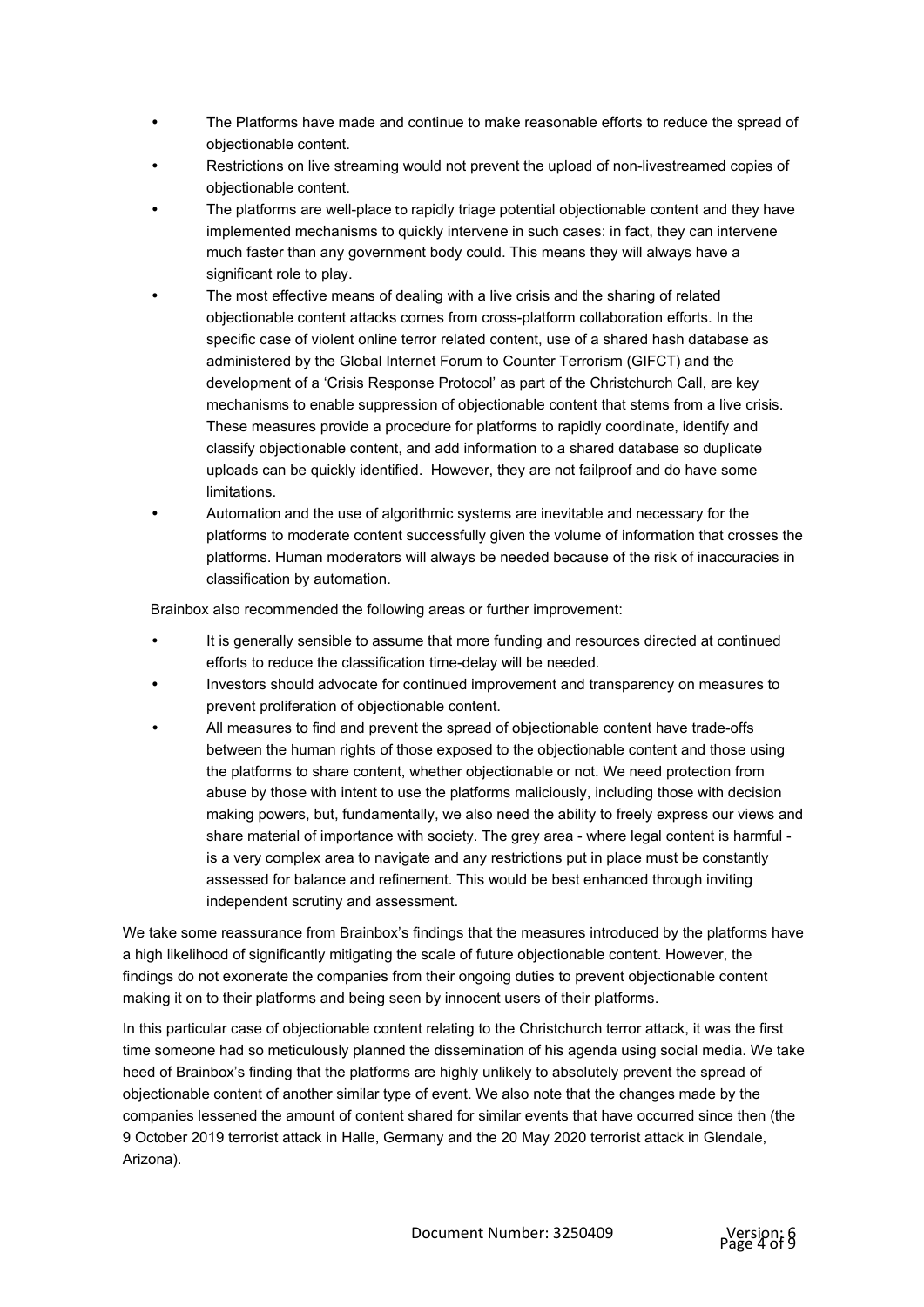- The Platforms have made and continue to make reasonable efforts to reduce the spread of objectionable content.
- Restrictions on live streaming would not prevent the upload of non-livestreamed copies of objectionable content.
- The platforms are well-place to rapidly triage potential objectionable content and they have implemented mechanisms to quickly intervene in such cases: in fact, they can intervene much faster than any government body could. This means they will always have a significant role to play.
- The most effective means of dealing with a live crisis and the sharing of related objectionable content attacks comes from cross-platform collaboration efforts. In the specific case of violent online terror related content, use of a shared hash database as administered by the Global Internet Forum to Counter Terrorism (GIFCT) and the development of a 'Crisis Response Protocol' as part of the Christchurch Call, are key mechanisms to enable suppression of objectionable content that stems from a live crisis. These measures provide a procedure for platforms to rapidly coordinate, identify and classify objectionable content, and add information to a shared database so duplicate uploads can be quickly identified. However, they are not failproof and do have some limitations.
- Automation and the use of algorithmic systems are inevitable and necessary for the platforms to moderate content successfully given the volume of information that crosses the platforms. Human moderators will always be needed because of the risk of inaccuracies in classification by automation.

Brainbox also recommended the following areas or further improvement:

- It is generally sensible to assume that more funding and resources directed at continued efforts to reduce the classification time-delay will be needed.
- Investors should advocate for continued improvement and transparency on measures to prevent proliferation of objectionable content.
- All measures to find and prevent the spread of objectionable content have trade-offs between the human rights of those exposed to the objectionable content and those using the platforms to share content, whether objectionable or not. We need protection from abuse by those with intent to use the platforms maliciously, including those with decision making powers, but, fundamentally, we also need the ability to freely express our views and share material of importance with society. The grey area - where legal content is harmful is a very complex area to navigate and any restrictions put in place must be constantly assessed for balance and refinement. This would be best enhanced through inviting independent scrutiny and assessment.

We take some reassurance from Brainbox's findings that the measures introduced by the platforms have a high likelihood of significantly mitigating the scale of future objectionable content. However, the findings do not exonerate the companies from their ongoing duties to prevent objectionable content making it on to their platforms and being seen by innocent users of their platforms.

In this particular case of objectionable content relating to the Christchurch terror attack, it was the first time someone had so meticulously planned the dissemination of his agenda using social media. We take heed of Brainbox's finding that the platforms are highly unlikely to absolutely prevent the spread of objectionable content of another similar type of event. We also note that the changes made by the companies lessened the amount of content shared for similar events that have occurred since then (the 9 October 2019 terrorist attack in Halle, Germany and the 20 May 2020 terrorist attack in Glendale, Arizona).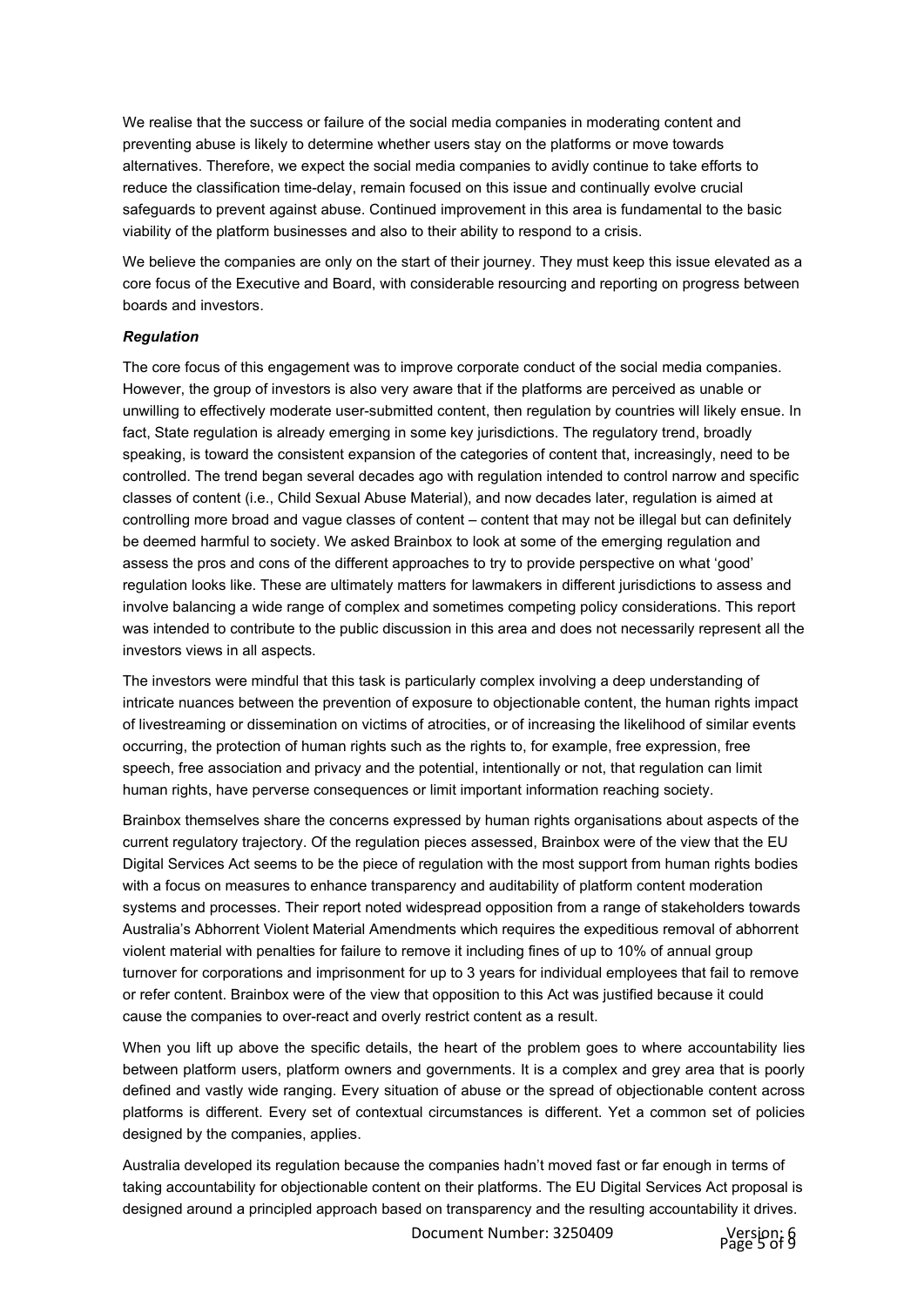We realise that the success or failure of the social media companies in moderating content and preventing abuse is likely to determine whether users stay on the platforms or move towards alternatives. Therefore, we expect the social media companies to avidly continue to take efforts to reduce the classification time-delay, remain focused on this issue and continually evolve crucial safeguards to prevent against abuse. Continued improvement in this area is fundamental to the basic viability of the platform businesses and also to their ability to respond to a crisis.

We believe the companies are only on the start of their journey. They must keep this issue elevated as a core focus of the Executive and Board, with considerable resourcing and reporting on progress between boards and investors.

#### *Regulation*

The core focus of this engagement was to improve corporate conduct of the social media companies. However, the group of investors is also very aware that if the platforms are perceived as unable or unwilling to effectively moderate user-submitted content, then regulation by countries will likely ensue. In fact, State regulation is already emerging in some key jurisdictions. The regulatory trend, broadly speaking, is toward the consistent expansion of the categories of content that, increasingly, need to be controlled. The trend began several decades ago with regulation intended to control narrow and specific classes of content (i.e., Child Sexual Abuse Material), and now decades later, regulation is aimed at controlling more broad and vague classes of content – content that may not be illegal but can definitely be deemed harmful to society. We asked Brainbox to look at some of the emerging regulation and assess the pros and cons of the different approaches to try to provide perspective on what 'good' regulation looks like. These are ultimately matters for lawmakers in different jurisdictions to assess and involve balancing a wide range of complex and sometimes competing policy considerations. This report was intended to contribute to the public discussion in this area and does not necessarily represent all the investors views in all aspects.

The investors were mindful that this task is particularly complex involving a deep understanding of intricate nuances between the prevention of exposure to objectionable content, the human rights impact of livestreaming or dissemination on victims of atrocities, or of increasing the likelihood of similar events occurring, the protection of human rights such as the rights to, for example, free expression, free speech, free association and privacy and the potential, intentionally or not, that regulation can limit human rights, have perverse consequences or limit important information reaching society.

Brainbox themselves share the concerns expressed by human rights organisations about aspects of the current regulatory trajectory. Of the regulation pieces assessed, Brainbox were of the view that the EU Digital Services Act seems to be the piece of regulation with the most support from human rights bodies with a focus on measures to enhance transparency and auditability of platform content moderation systems and processes. Their report noted widespread opposition from a range of stakeholders towards Australia's Abhorrent Violent Material Amendments which requires the expeditious removal of abhorrent violent material with penalties for failure to remove it including fines of up to 10% of annual group turnover for corporations and imprisonment for up to 3 years for individual employees that fail to remove or refer content. Brainbox were of the view that opposition to this Act was justified because it could cause the companies to over-react and overly restrict content as a result.

When you lift up above the specific details, the heart of the problem goes to where accountability lies between platform users, platform owners and governments. It is a complex and grey area that is poorly defined and vastly wide ranging. Every situation of abuse or the spread of objectionable content across platforms is different. Every set of contextual circumstances is different. Yet a common set of policies designed by the companies, applies.

Australia developed its regulation because the companies hadn't moved fast or far enough in terms of taking accountability for objectionable content on their platforms. The EU Digital Services Act proposal is designed around a principled approach based on transparency and the resulting accountability it drives.

Document Number: 3250409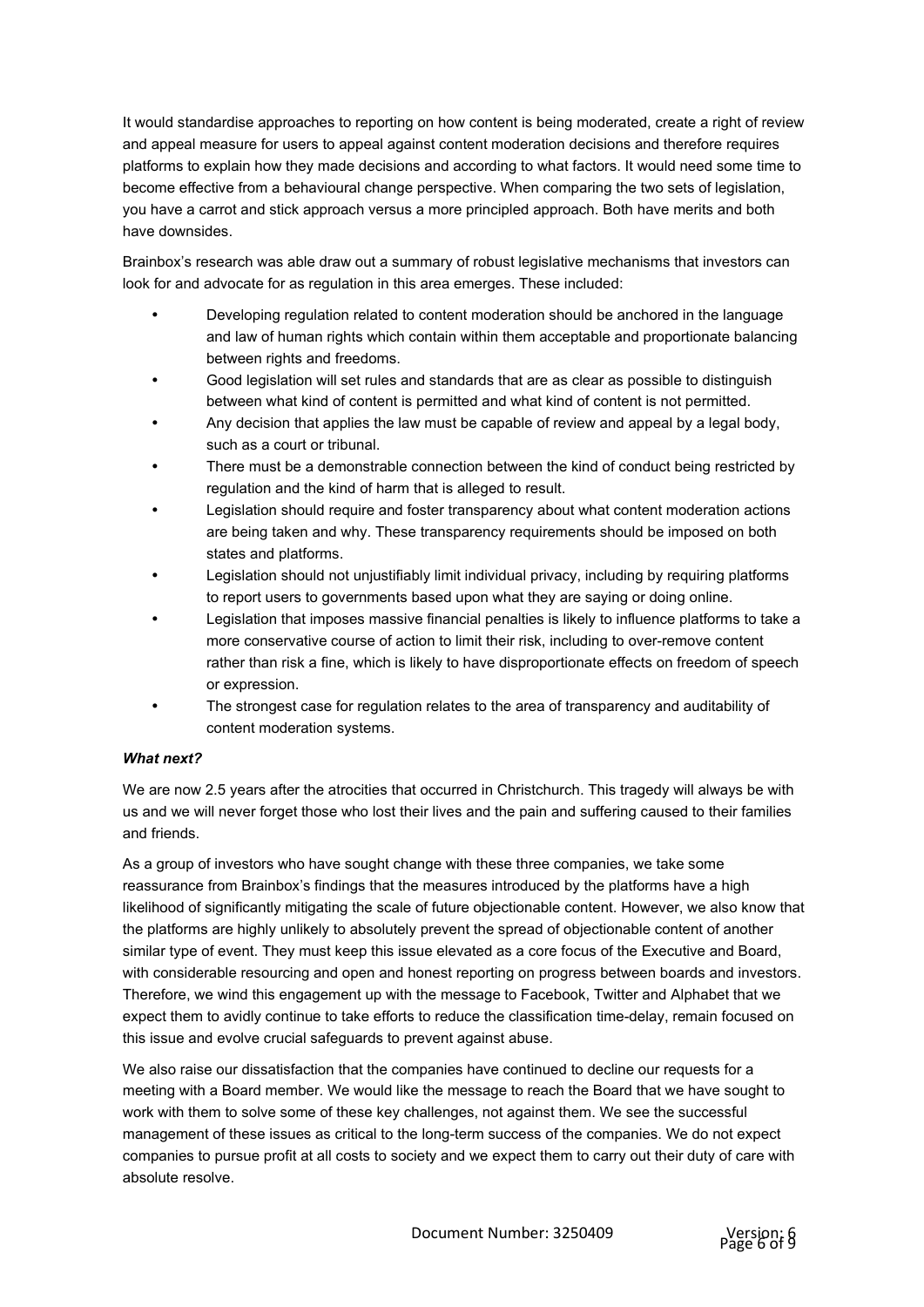It would standardise approaches to reporting on how content is being moderated, create a right of review and appeal measure for users to appeal against content moderation decisions and therefore requires platforms to explain how they made decisions and according to what factors. It would need some time to become effective from a behavioural change perspective. When comparing the two sets of legislation, you have a carrot and stick approach versus a more principled approach. Both have merits and both have downsides.

Brainbox's research was able draw out a summary of robust legislative mechanisms that investors can look for and advocate for as regulation in this area emerges. These included:

- Developing regulation related to content moderation should be anchored in the language and law of human rights which contain within them acceptable and proportionate balancing between rights and freedoms.
- Good legislation will set rules and standards that are as clear as possible to distinguish between what kind of content is permitted and what kind of content is not permitted.
- Any decision that applies the law must be capable of review and appeal by a legal body, such as a court or tribunal.
- There must be a demonstrable connection between the kind of conduct being restricted by regulation and the kind of harm that is alleged to result.
- Legislation should require and foster transparency about what content moderation actions are being taken and why. These transparency requirements should be imposed on both states and platforms.
- Legislation should not unjustifiably limit individual privacy, including by requiring platforms to report users to governments based upon what they are saying or doing online.
- Legislation that imposes massive financial penalties is likely to influence platforms to take a more conservative course of action to limit their risk, including to over-remove content rather than risk a fine, which is likely to have disproportionate effects on freedom of speech or expression.
- The strongest case for regulation relates to the area of transparency and auditability of content moderation systems.

## *What next?*

We are now 2.5 years after the atrocities that occurred in Christchurch. This tragedy will always be with us and we will never forget those who lost their lives and the pain and suffering caused to their families and friends.

As a group of investors who have sought change with these three companies, we take some reassurance from Brainbox's findings that the measures introduced by the platforms have a high likelihood of significantly mitigating the scale of future objectionable content. However, we also know that the platforms are highly unlikely to absolutely prevent the spread of objectionable content of another similar type of event. They must keep this issue elevated as a core focus of the Executive and Board, with considerable resourcing and open and honest reporting on progress between boards and investors. Therefore, we wind this engagement up with the message to Facebook, Twitter and Alphabet that we expect them to avidly continue to take efforts to reduce the classification time-delay, remain focused on this issue and evolve crucial safeguards to prevent against abuse.

We also raise our dissatisfaction that the companies have continued to decline our requests for a meeting with a Board member. We would like the message to reach the Board that we have sought to work with them to solve some of these key challenges, not against them. We see the successful management of these issues as critical to the long-term success of the companies. We do not expect companies to pursue profit at all costs to society and we expect them to carry out their duty of care with absolute resolve.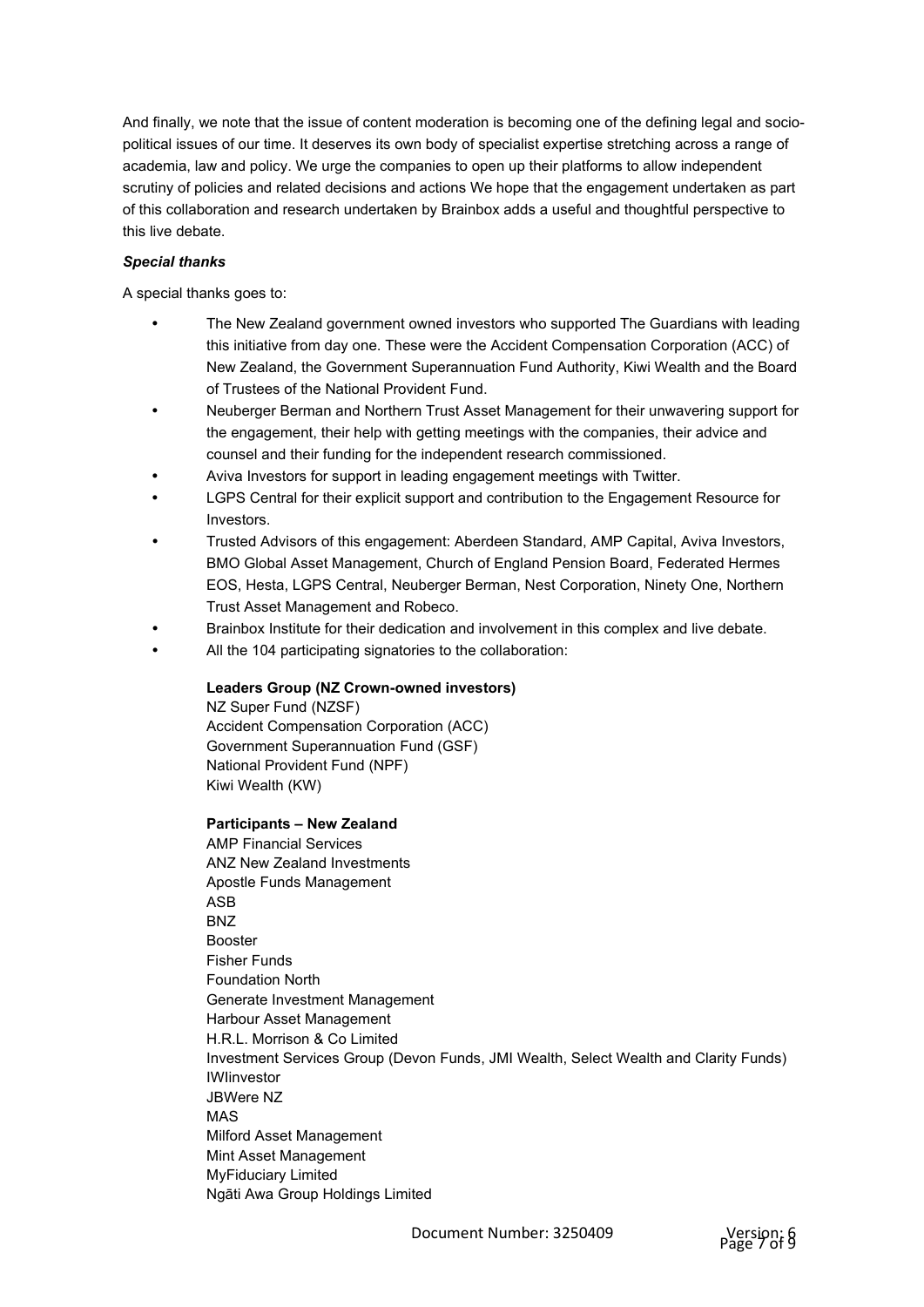And finally, we note that the issue of content moderation is becoming one of the defining legal and sociopolitical issues of our time. It deserves its own body of specialist expertise stretching across a range of academia, law and policy. We urge the companies to open up their platforms to allow independent scrutiny of policies and related decisions and actions We hope that the engagement undertaken as part of this collaboration and research undertaken by Brainbox adds a useful and thoughtful perspective to this live debate.

# *Special thanks*

A special thanks goes to:

- The New Zealand government owned investors who supported The Guardians with leading this initiative from day one. These were the Accident Compensation Corporation (ACC) of New Zealand, the Government Superannuation Fund Authority, Kiwi Wealth and the Board of Trustees of the National Provident Fund.
- Neuberger Berman and Northern Trust Asset Management for their unwavering support for the engagement, their help with getting meetings with the companies, their advice and counsel and their funding for the independent research commissioned.
- Aviva Investors for support in leading engagement meetings with Twitter.
- LGPS Central for their explicit support and contribution to the Engagement Resource for Investors.
- Trusted Advisors of this engagement: Aberdeen Standard, AMP Capital, Aviva Investors, BMO Global Asset Management, Church of England Pension Board, Federated Hermes EOS, Hesta, LGPS Central, Neuberger Berman, Nest Corporation, Ninety One, Northern Trust Asset Management and Robeco.
- Brainbox Institute for their dedication and involvement in this complex and live debate.
- All the 104 participating signatories to the collaboration:

## **Leaders Group (NZ Crown-owned investors)**

NZ Super Fund (NZSF) Accident Compensation Corporation (ACC) Government Superannuation Fund (GSF) National Provident Fund (NPF) Kiwi Wealth (KW)

# **Participants – New Zealand**

AMP Financial Services ANZ New Zealand Investments Apostle Funds Management ASB BNZ Booster Fisher Funds Foundation North Generate Investment Management Harbour Asset Management H.R.L. Morrison & Co Limited Investment Services Group (Devon Funds, JMI Wealth, Select Wealth and Clarity Funds) IWIinvestor JBWere NZ MAS Milford Asset Management Mint Asset Management MyFiduciary Limited Ngāti Awa Group Holdings Limited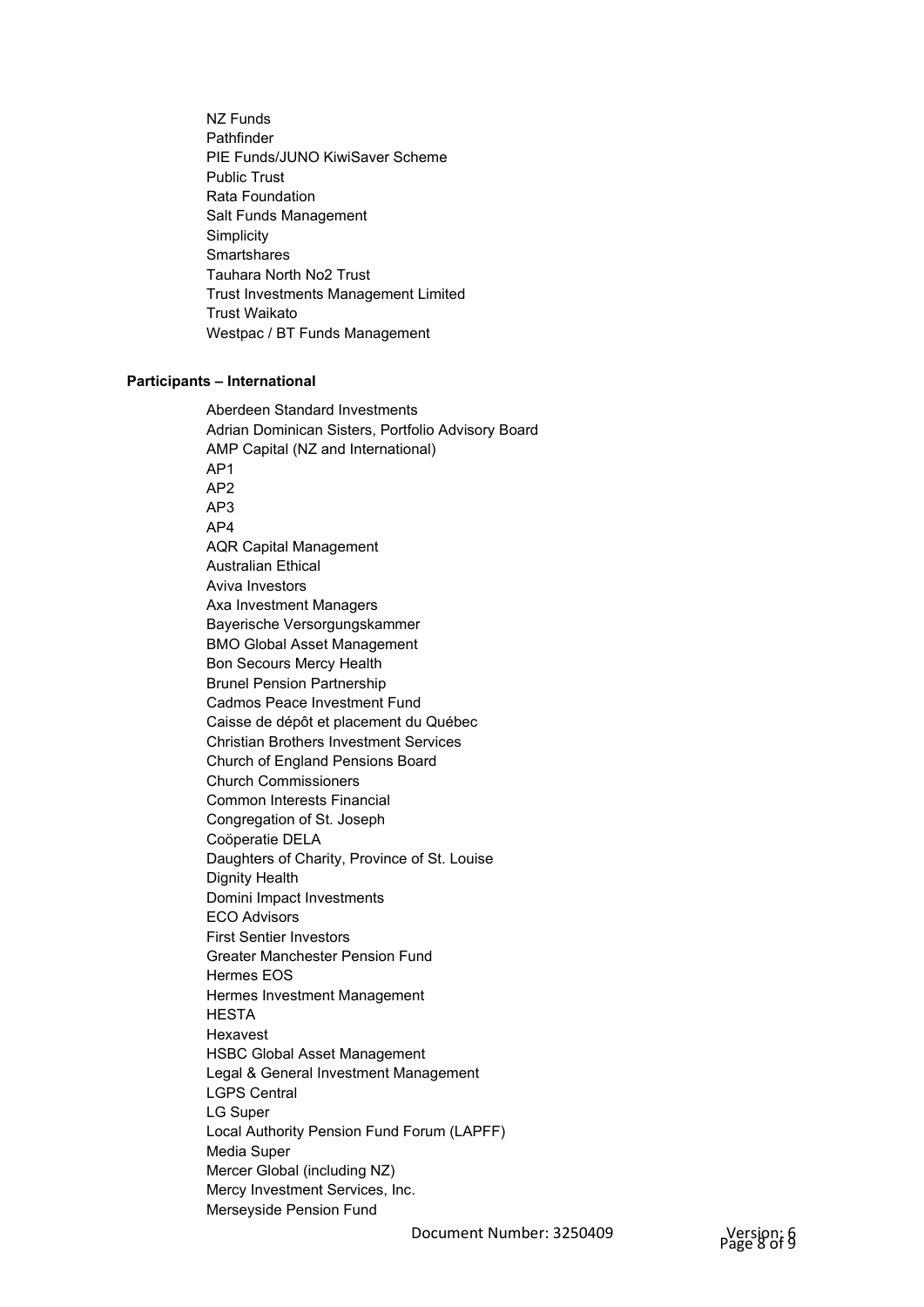NZ Funds Pathfinder PIE Funds/JUNO KiwiSaver Scheme Public Trust Rata Foundation Salt Funds Management **Simplicity Smartshares** Tauhara North No2 Trust Trust Investments Management Limited Trust Waikato Westpac / BT Funds Management

## **Participants – International**

Aberdeen Standard Investments Adrian Dominican Sisters, Portfolio Advisory Board AMP Capital (NZ and International) AP1 AP2 AP3 AP4 AQR Capital Management Australian Ethical Aviva Investors Axa Investment Managers Bayerische Versorgungskammer BMO Global Asset Management Bon Secours Mercy Health Brunel Pension Partnership Cadmos Peace Investment Fund Caisse de dépôt et placement du Québec Christian Brothers Investment Services Church of England Pensions Board Church Commissioners Common Interests Financial Congregation of St. Joseph Coöperatie DELA Daughters of Charity, Province of St. Louise Dignity Health Domini Impact Investments ECO Advisors First Sentier Investors Greater Manchester Pension Fund Hermes EOS Hermes Investment Management **HESTA** Hexavest HSBC Global Asset Management Legal & General Investment Management LGPS Central LG Super Local Authority Pension Fund Forum (LAPFF) Media Super Mercer Global (including NZ) Mercy Investment Services, Inc. Merseyside Pension Fund